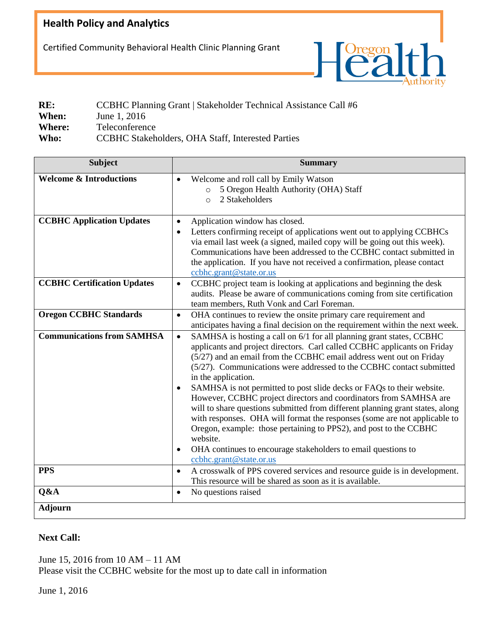## **Health Policy and Analytics**

Certified Community Behavioral Health Clinic Planning Grant



| RE:           | CCBHC Planning Grant   Stakeholder Technical Assistance Call #6 |
|---------------|-----------------------------------------------------------------|
| When:         | June 1, 2016                                                    |
| <b>Where:</b> | Teleconference                                                  |
| Who:          | CCBHC Stakeholders, OHA Staff, Interested Parties               |

| <b>Subject</b>                     | <b>Summary</b>                                                                                                                                                                                                                                                                                                                                                                                                                                                                                                                                                                                                                                                                                                                                                                                                                            |
|------------------------------------|-------------------------------------------------------------------------------------------------------------------------------------------------------------------------------------------------------------------------------------------------------------------------------------------------------------------------------------------------------------------------------------------------------------------------------------------------------------------------------------------------------------------------------------------------------------------------------------------------------------------------------------------------------------------------------------------------------------------------------------------------------------------------------------------------------------------------------------------|
| <b>Welcome &amp; Introductions</b> | Welcome and roll call by Emily Watson<br>$\bullet$<br>5 Oregon Health Authority (OHA) Staff<br>$\circ$<br>2 Stakeholders<br>$\circ$                                                                                                                                                                                                                                                                                                                                                                                                                                                                                                                                                                                                                                                                                                       |
| <b>CCBHC Application Updates</b>   | Application window has closed.<br>$\bullet$<br>Letters confirming receipt of applications went out to applying CCBHCs<br>$\bullet$<br>via email last week (a signed, mailed copy will be going out this week).<br>Communications have been addressed to the CCBHC contact submitted in<br>the application. If you have not received a confirmation, please contact<br>ccbhc.grant@state.or.us                                                                                                                                                                                                                                                                                                                                                                                                                                             |
| <b>CCBHC Certification Updates</b> | CCBHC project team is looking at applications and beginning the desk<br>$\bullet$<br>audits. Please be aware of communications coming from site certification<br>team members, Ruth Vonk and Carl Foreman.                                                                                                                                                                                                                                                                                                                                                                                                                                                                                                                                                                                                                                |
| <b>Oregon CCBHC Standards</b>      | OHA continues to review the onsite primary care requirement and<br>$\bullet$<br>anticipates having a final decision on the requirement within the next week.                                                                                                                                                                                                                                                                                                                                                                                                                                                                                                                                                                                                                                                                              |
| <b>Communications from SAMHSA</b>  | SAMHSA is hosting a call on 6/1 for all planning grant states, CCBHC<br>$\bullet$<br>applicants and project directors. Carl called CCBHC applicants on Friday<br>(5/27) and an email from the CCBHC email address went out on Friday<br>(5/27). Communications were addressed to the CCBHC contact submitted<br>in the application.<br>SAMHSA is not permitted to post slide decks or FAQs to their website.<br>However, CCBHC project directors and coordinators from SAMHSA are<br>will to share questions submitted from different planning grant states, along<br>with responses. OHA will format the responses (some are not applicable to<br>Oregon, example: those pertaining to PPS2), and post to the CCBHC<br>website.<br>OHA continues to encourage stakeholders to email questions to<br>$\bullet$<br>ccbhc.grant@state.or.us |
| <b>PPS</b>                         | A crosswalk of PPS covered services and resource guide is in development.<br>$\bullet$<br>This resource will be shared as soon as it is available.                                                                                                                                                                                                                                                                                                                                                                                                                                                                                                                                                                                                                                                                                        |
| Q&A                                | No questions raised<br>$\bullet$                                                                                                                                                                                                                                                                                                                                                                                                                                                                                                                                                                                                                                                                                                                                                                                                          |
| <b>Adjourn</b>                     |                                                                                                                                                                                                                                                                                                                                                                                                                                                                                                                                                                                                                                                                                                                                                                                                                                           |

## **Next Call:**

June 15, 2016 from 10 AM – 11 AM

Please visit the CCBHC website for the most up to date call in information

June 1, 2016